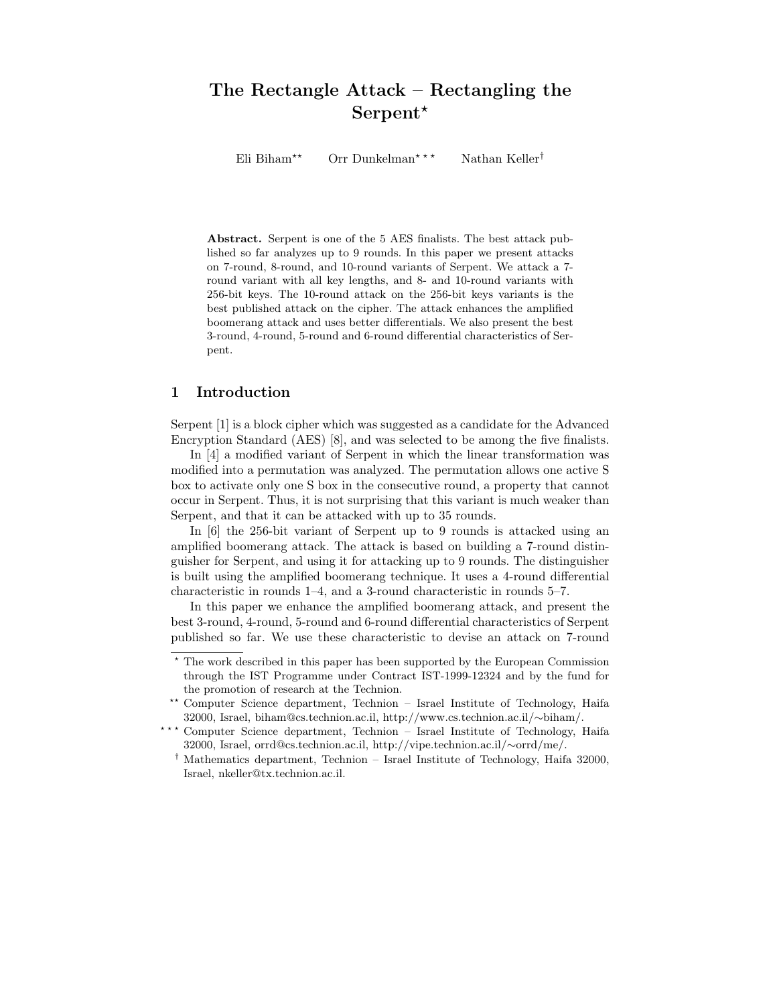# The Rectangle Attack – Rectangling the Serpent<sup>\*</sup>

Eli Biham<sup>\*\*</sup> Orr Dunkelman<sup>\*\*\*</sup> Nathan Keller<sup>†</sup>

Abstract. Serpent is one of the 5 AES finalists. The best attack published so far analyzes up to 9 rounds. In this paper we present attacks on 7-round, 8-round, and 10-round variants of Serpent. We attack a 7 round variant with all key lengths, and 8- and 10-round variants with 256-bit keys. The 10-round attack on the 256-bit keys variants is the best published attack on the cipher. The attack enhances the amplified boomerang attack and uses better differentials. We also present the best 3-round, 4-round, 5-round and 6-round differential characteristics of Serpent.

### 1 Introduction

Serpent [1] is a block cipher which was suggested as a candidate for the Advanced Encryption Standard (AES) [8], and was selected to be among the five finalists.

In [4] a modified variant of Serpent in which the linear transformation was modified into a permutation was analyzed. The permutation allows one active S box to activate only one S box in the consecutive round, a property that cannot occur in Serpent. Thus, it is not surprising that this variant is much weaker than Serpent, and that it can be attacked with up to 35 rounds.

In [6] the 256-bit variant of Serpent up to 9 rounds is attacked using an amplified boomerang attack. The attack is based on building a 7-round distinguisher for Serpent, and using it for attacking up to 9 rounds. The distinguisher is built using the amplified boomerang technique. It uses a 4-round differential characteristic in rounds 1–4, and a 3-round characteristic in rounds 5–7.

In this paper we enhance the amplified boomerang attack, and present the best 3-round, 4-round, 5-round and 6-round differential characteristics of Serpent published so far. We use these characteristic to devise an attack on 7-round

<sup>?</sup> The work described in this paper has been supported by the European Commission through the IST Programme under Contract IST-1999-12324 and by the fund for the promotion of research at the Technion.

<sup>\*\*</sup> Computer Science department, Technion – Israel Institute of Technology, Haifa 32000, Israel, biham@cs.technion.ac.il, http://www.cs.technion.ac.il/∼biham/.

<sup>\*\*\*</sup> Computer Science department, Technion - Israel Institute of Technology, Haifa 32000, Israel, orrd@cs.technion.ac.il, http://vipe.technion.ac.il/∼orrd/me/.

<sup>†</sup> Mathematics department, Technion – Israel Institute of Technology, Haifa 32000, Israel, nkeller@tx.technion.ac.il.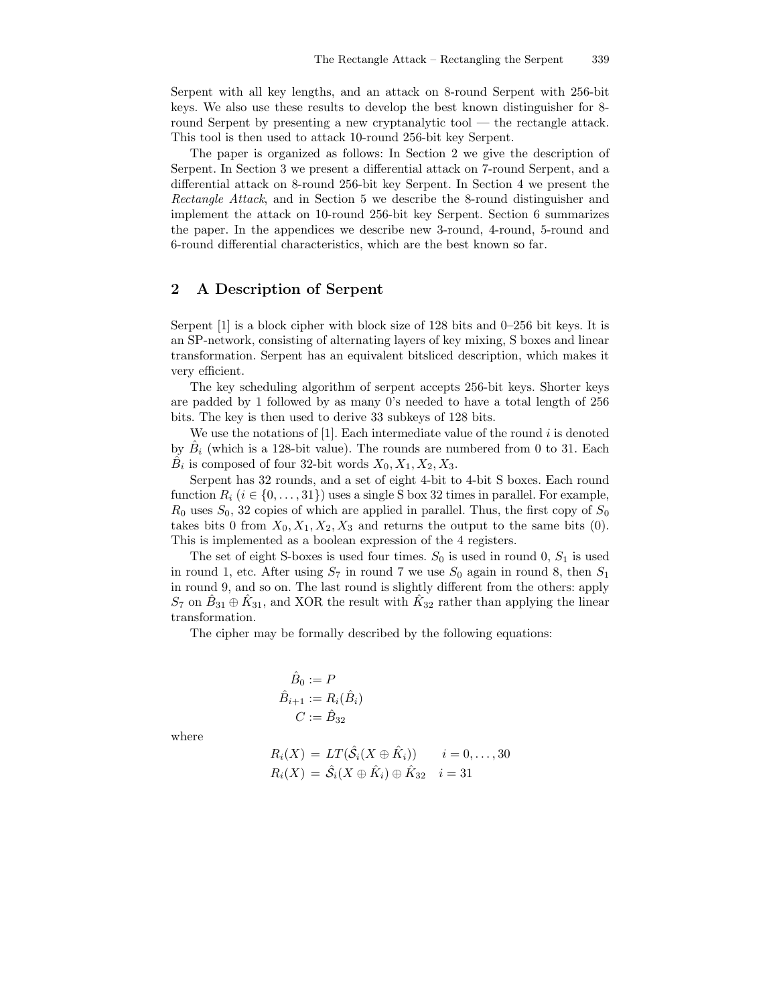Serpent with all key lengths, and an attack on 8-round Serpent with 256-bit keys. We also use these results to develop the best known distinguisher for 8 round Serpent by presenting a new cryptanalytic tool — the rectangle attack. This tool is then used to attack 10-round 256-bit key Serpent.

The paper is organized as follows: In Section 2 we give the description of Serpent. In Section 3 we present a differential attack on 7-round Serpent, and a differential attack on 8-round 256-bit key Serpent. In Section 4 we present the Rectangle Attack, and in Section 5 we describe the 8-round distinguisher and implement the attack on 10-round 256-bit key Serpent. Section 6 summarizes the paper. In the appendices we describe new 3-round, 4-round, 5-round and 6-round differential characteristics, which are the best known so far.

### 2 A Description of Serpent

Serpent [1] is a block cipher with block size of 128 bits and 0–256 bit keys. It is an SP-network, consisting of alternating layers of key mixing, S boxes and linear transformation. Serpent has an equivalent bitsliced description, which makes it very efficient.

The key scheduling algorithm of serpent accepts 256-bit keys. Shorter keys are padded by 1 followed by as many 0's needed to have a total length of 256 bits. The key is then used to derive 33 subkeys of 128 bits.

We use the notations of  $[1]$ . Each intermediate value of the round i is denoted by  $\hat{B}_i$  (which is a 128-bit value). The rounds are numbered from 0 to 31. Each  $\hat{B}_i$  is composed of four 32-bit words  $X_0, X_1, X_2, X_3$ .

Serpent has 32 rounds, and a set of eight 4-bit to 4-bit S boxes. Each round function  $R_i$  ( $i \in \{0, \ldots, 31\}$ ) uses a single S box 32 times in parallel. For example,  $R_0$  uses  $S_0$ , 32 copies of which are applied in parallel. Thus, the first copy of  $S_0$ takes bits 0 from  $X_0, X_1, X_2, X_3$  and returns the output to the same bits (0). This is implemented as a boolean expression of the 4 registers.

The set of eight S-boxes is used four times.  $S_0$  is used in round 0,  $S_1$  is used in round 1, etc. After using  $S_7$  in round 7 we use  $S_0$  again in round 8, then  $S_1$ in round 9, and so on. The last round is slightly different from the others: apply  $S_7$  on  $\hat{B}_{31} \oplus \hat{K}_{31}$ , and XOR the result with  $\hat{K}_{32}$  rather than applying the linear transformation.

The cipher may be formally described by the following equations:

$$
\hat{B}_0 := P
$$
  

$$
\hat{B}_{i+1} := R_i(\hat{B}_i)
$$
  

$$
C := \hat{B}_{32}
$$

where

$$
R_i(X) = LT(\hat{S}_i(X \oplus \hat{K}_i)) \qquad i = 0, ..., 30
$$
  

$$
R_i(X) = \hat{S}_i(X \oplus \hat{K}_i) \oplus \hat{K}_{32} \qquad i = 31
$$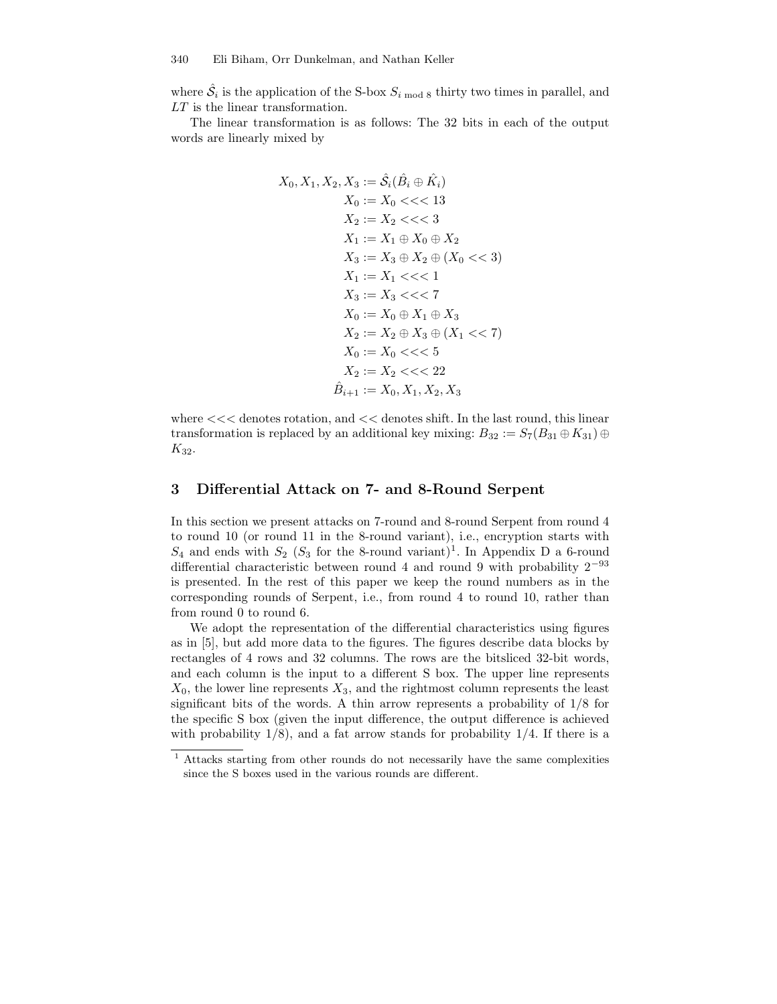where  $\hat{S}_i$  is the application of the S-box  $S_{i \text{ mod } 8}$  thirty two times in parallel, and LT is the linear transformation.

The linear transformation is as follows: The 32 bits in each of the output words are linearly mixed by

$$
X_0, X_1, X_2, X_3 := \hat{S}_i(\hat{B}_i \oplus \hat{K}_i)
$$
  
\n
$$
X_0 := X_0 \ll \ll 13
$$
  
\n
$$
X_2 := X_2 \ll \ll 3
$$
  
\n
$$
X_1 := X_1 \oplus X_0 \oplus X_2
$$
  
\n
$$
X_3 := X_3 \oplus X_2 \oplus (X_0 \ll 3)
$$
  
\n
$$
X_1 := X_1 \ll \ll 1
$$
  
\n
$$
X_3 := X_3 \ll \ll 7
$$
  
\n
$$
X_0 := X_0 \oplus X_1 \oplus X_3
$$
  
\n
$$
X_2 := X_2 \oplus X_3 \oplus (X_1 \ll 7)
$$
  
\n
$$
X_0 := X_0 \ll \ll 5
$$
  
\n
$$
X_2 := X_2 \ll \ll 22
$$
  
\n
$$
\hat{B}_{i+1} := X_0, X_1, X_2, X_3
$$

where  $<<$  denotes rotation, and  $<<$  denotes shift. In the last round, this linear transformation is replaced by an additional key mixing:  $B_{32} := S_7(B_{31} \oplus K_{31}) \oplus$  $K_{32}$ .

### 3 Differential Attack on 7- and 8-Round Serpent

In this section we present attacks on 7-round and 8-round Serpent from round 4 to round 10 (or round 11 in the 8-round variant), i.e., encryption starts with  $S_4$  and ends with  $S_2$  ( $S_3$  for the 8-round variant)<sup>1</sup>. In Appendix D a 6-round differential characteristic between round 4 and round 9 with probability  $2^{-93}$ is presented. In the rest of this paper we keep the round numbers as in the corresponding rounds of Serpent, i.e., from round 4 to round 10, rather than from round 0 to round 6.

We adopt the representation of the differential characteristics using figures as in [5], but add more data to the figures. The figures describe data blocks by rectangles of 4 rows and 32 columns. The rows are the bitsliced 32-bit words, and each column is the input to a different S box. The upper line represents  $X_0$ , the lower line represents  $X_3$ , and the rightmost column represents the least significant bits of the words. A thin arrow represents a probability of 1/8 for the specific S box (given the input difference, the output difference is achieved with probability  $1/8$ , and a fat arrow stands for probability  $1/4$ . If there is a

<sup>1</sup> Attacks starting from other rounds do not necessarily have the same complexities since the S boxes used in the various rounds are different.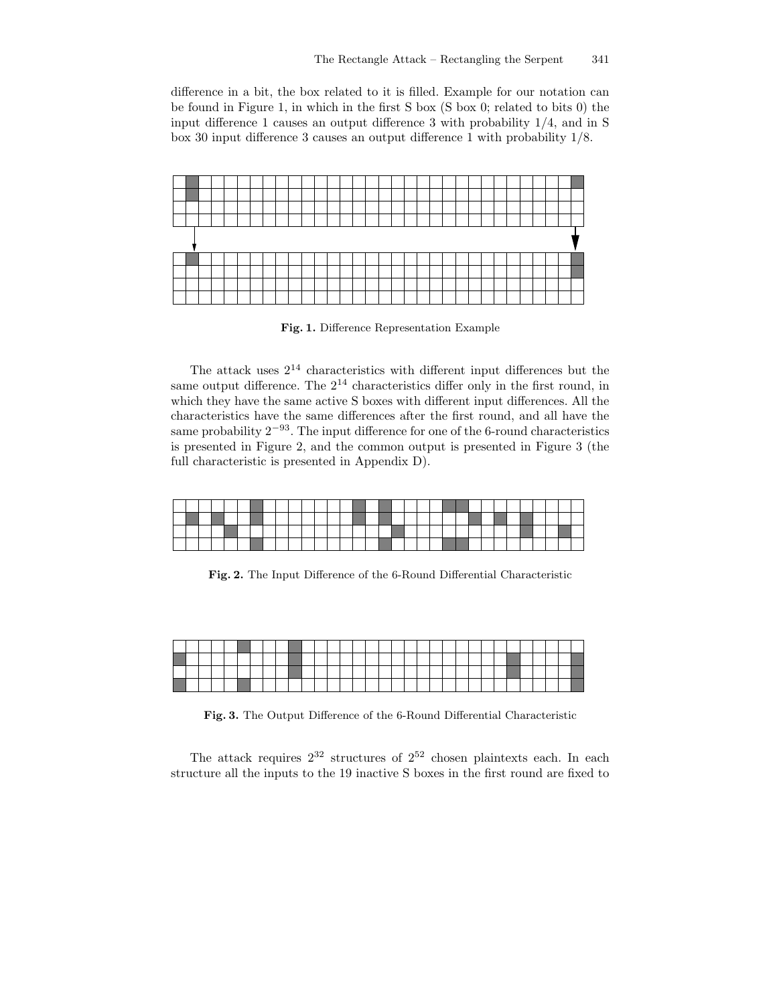difference in a bit, the box related to it is filled. Example for our notation can be found in Figure 1, in which in the first S box (S box 0; related to bits 0) the input difference 1 causes an output difference 3 with probability 1/4, and in S box 30 input difference 3 causes an output difference 1 with probability 1/8.



Fig. 1. Difference Representation Example

The attack uses  $2^{14}$  characteristics with different input differences but the same output difference. The  $2^{14}$  characteristics differ only in the first round, in which they have the same active S boxes with different input differences. All the characteristics have the same differences after the first round, and all have the same probability  $2^{-93}$ . The input difference for one of the 6-round characteristics is presented in Figure 2, and the common output is presented in Figure 3 (the full characteristic is presented in Appendix D).

Fig. 2. The Input Difference of the 6-Round Differential Characteristic

|  |  |  |  |  |  |  |  |  |  |  |  |  |  |  | – |
|--|--|--|--|--|--|--|--|--|--|--|--|--|--|--|---|
|  |  |  |  |  |  |  |  |  |  |  |  |  |  |  |   |
|  |  |  |  |  |  |  |  |  |  |  |  |  |  |  |   |
|  |  |  |  |  |  |  |  |  |  |  |  |  |  |  |   |

Fig. 3. The Output Difference of the 6-Round Differential Characteristic

The attack requires  $2^{32}$  structures of  $2^{52}$  chosen plaintexts each. In each structure all the inputs to the 19 inactive S boxes in the first round are fixed to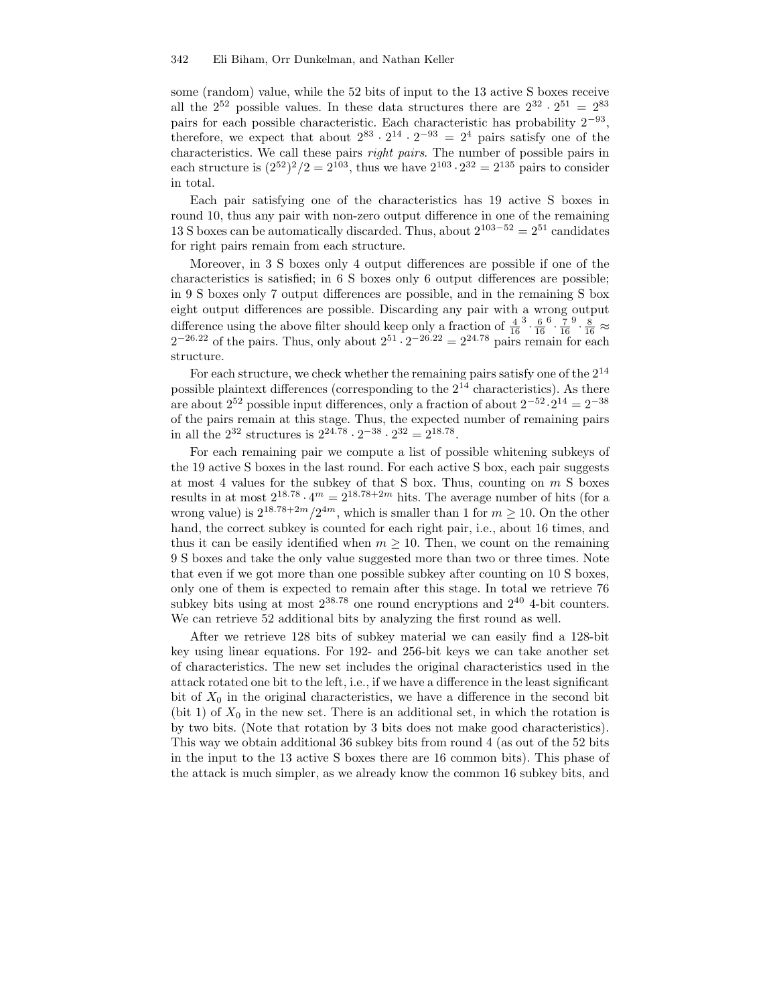some (random) value, while the 52 bits of input to the 13 active S boxes receive all the  $2^{52}$  possible values. In these data structures there are  $2^{32} \cdot 2^{51} = 2^{83}$ pairs for each possible characteristic. Each characteristic has probability  $2^{-93}$ , therefore, we expect that about  $2^{83} \cdot 2^{14} \cdot 2^{-93} = 2^4$  pairs satisfy one of the characteristics. We call these pairs right pairs. The number of possible pairs in each structure is  $(2^{52})^2/2 = 2^{103}$ , thus we have  $2^{103} \cdot 2^{32} = 2^{135}$  pairs to consider in total.

Each pair satisfying one of the characteristics has 19 active S boxes in round 10, thus any pair with non-zero output difference in one of the remaining 13 S boxes can be automatically discarded. Thus, about  $2^{103-52} = 2^{51}$  candidates for right pairs remain from each structure.

Moreover, in 3 S boxes only 4 output differences are possible if one of the characteristics is satisfied; in 6 S boxes only 6 output differences are possible; in 9 S boxes only 7 output differences are possible, and in the remaining S box eight output differences are possible. Discarding any pair with a wrong output difference using the above filter should keep only a fraction of  $\frac{4}{16}$  $rac{3}{16}$ .  $^{6}$ .  $\frac{7}{16}$  $^{9}\cdot\frac{8}{16}\approx$  $2^{-26.22}$  of the pairs. Thus, only about  $2^{51} \cdot 2^{-26.22} = 2^{24.78}$  pairs remain for each structure.

For each structure, we check whether the remaining pairs satisfy one of the  $2^{14}$ possible plaintext differences (corresponding to the  $2^{14}$  characteristics). As there are about  $2^{52}$  possible input differences, only a fraction of about  $2^{-52} \cdot 2^{14} = 2^{-38}$ of the pairs remain at this stage. Thus, the expected number of remaining pairs in all the  $2^{32}$  structures is  $2^{24.78} \cdot 2^{-38} \cdot 2^{32} = 2^{18.78}$ .

For each remaining pair we compute a list of possible whitening subkeys of the 19 active S boxes in the last round. For each active S box, each pair suggests at most 4 values for the subkey of that S box. Thus, counting on  $m$  S boxes results in at most  $2^{18.78} \cdot 4^m = 2^{18.78 + 2m}$  hits. The average number of hits (for a wrong value) is  $2^{18.78+2m}/2^{4m}$ , which is smaller than 1 for  $m \ge 10$ . On the other hand, the correct subkey is counted for each right pair, i.e., about 16 times, and thus it can be easily identified when  $m \geq 10$ . Then, we count on the remaining 9 S boxes and take the only value suggested more than two or three times. Note that even if we got more than one possible subkey after counting on 10 S boxes, only one of them is expected to remain after this stage. In total we retrieve 76 subkey bits using at most  $2^{38.78}$  one round encryptions and  $2^{40}$  4-bit counters. We can retrieve 52 additional bits by analyzing the first round as well.

After we retrieve 128 bits of subkey material we can easily find a 128-bit key using linear equations. For 192- and 256-bit keys we can take another set of characteristics. The new set includes the original characteristics used in the attack rotated one bit to the left, i.e., if we have a difference in the least significant bit of  $X_0$  in the original characteristics, we have a difference in the second bit (bit 1) of  $X_0$  in the new set. There is an additional set, in which the rotation is by two bits. (Note that rotation by 3 bits does not make good characteristics). This way we obtain additional 36 subkey bits from round 4 (as out of the 52 bits in the input to the 13 active S boxes there are 16 common bits). This phase of the attack is much simpler, as we already know the common 16 subkey bits, and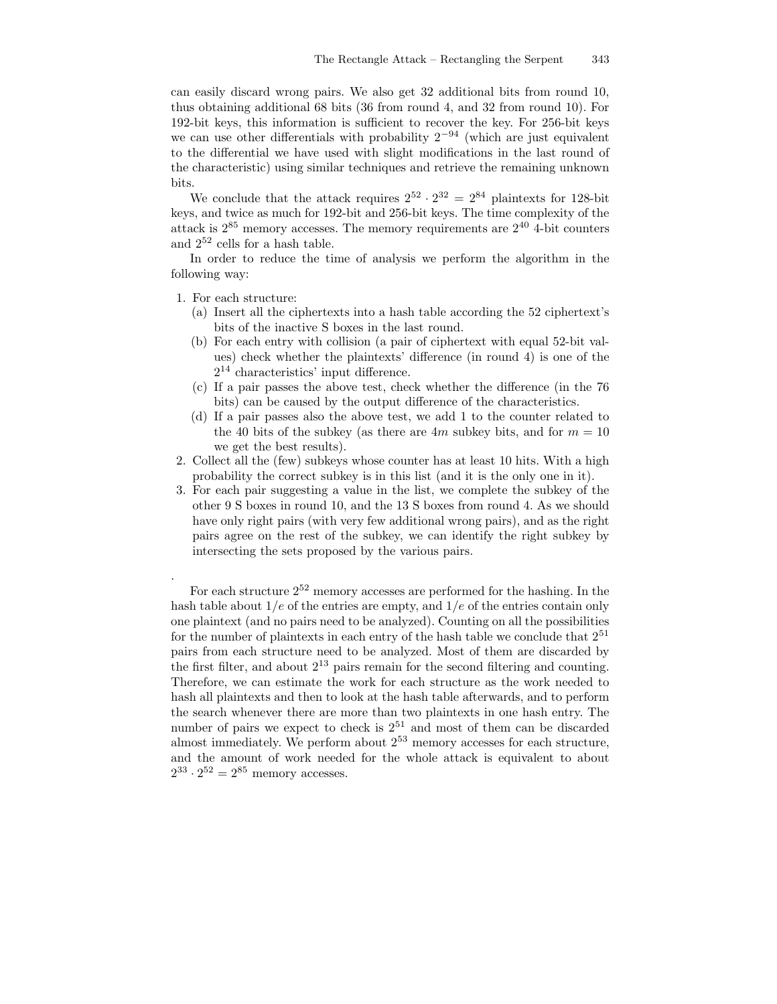can easily discard wrong pairs. We also get 32 additional bits from round 10, thus obtaining additional 68 bits (36 from round 4, and 32 from round 10). For 192-bit keys, this information is sufficient to recover the key. For 256-bit keys we can use other differentials with probability  $2^{-94}$  (which are just equivalent to the differential we have used with slight modifications in the last round of the characteristic) using similar techniques and retrieve the remaining unknown bits.

We conclude that the attack requires  $2^{52} \cdot 2^{32} = 2^{84}$  plaintexts for 128-bit keys, and twice as much for 192-bit and 256-bit keys. The time complexity of the attack is  $2^{85}$  memory accesses. The memory requirements are  $2^{40}$  4-bit counters and  $2^{52}$  cells for a hash table.

In order to reduce the time of analysis we perform the algorithm in the following way:

1. For each structure:

.

- (a) Insert all the ciphertexts into a hash table according the 52 ciphertext's bits of the inactive S boxes in the last round.
- (b) For each entry with collision (a pair of ciphertext with equal 52-bit values) check whether the plaintexts' difference (in round 4) is one of the  $2^{14}$  characteristics' input difference.
- (c) If a pair passes the above test, check whether the difference (in the 76 bits) can be caused by the output difference of the characteristics.
- (d) If a pair passes also the above test, we add 1 to the counter related to the 40 bits of the subkey (as there are  $4m$  subkey bits, and for  $m = 10$ we get the best results).
- 2. Collect all the (few) subkeys whose counter has at least 10 hits. With a high probability the correct subkey is in this list (and it is the only one in it).
- 3. For each pair suggesting a value in the list, we complete the subkey of the other 9 S boxes in round 10, and the 13 S boxes from round 4. As we should have only right pairs (with very few additional wrong pairs), and as the right pairs agree on the rest of the subkey, we can identify the right subkey by intersecting the sets proposed by the various pairs.

For each structure  $2^{52}$  memory accesses are performed for the hashing. In the hash table about  $1/e$  of the entries are empty, and  $1/e$  of the entries contain only one plaintext (and no pairs need to be analyzed). Counting on all the possibilities for the number of plaintexts in each entry of the hash table we conclude that  $2^{51}$ pairs from each structure need to be analyzed. Most of them are discarded by the first filter, and about  $2^{13}$  pairs remain for the second filtering and counting. Therefore, we can estimate the work for each structure as the work needed to hash all plaintexts and then to look at the hash table afterwards, and to perform the search whenever there are more than two plaintexts in one hash entry. The number of pairs we expect to check is  $2^{51}$  and most of them can be discarded almost immediately. We perform about  $2^{53}$  memory accesses for each structure, and the amount of work needed for the whole attack is equivalent to about  $2^{33} \cdot 2^{52} = 2^{85}$  memory accesses.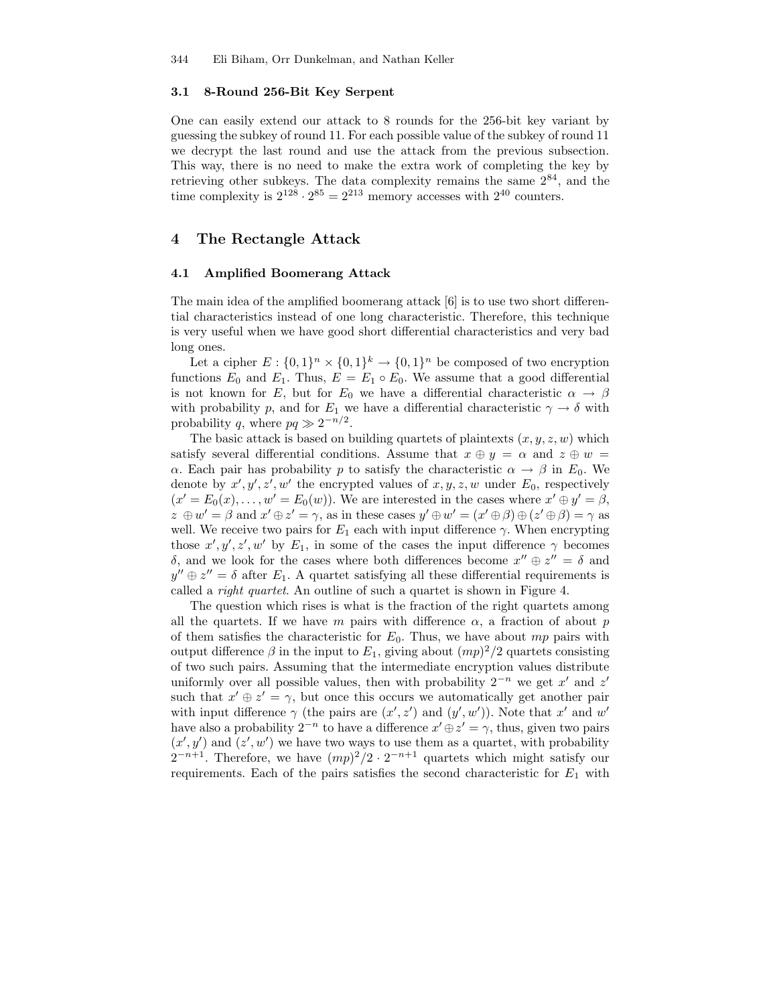#### 3.1 8-Round 256-Bit Key Serpent

One can easily extend our attack to 8 rounds for the 256-bit key variant by guessing the subkey of round 11. For each possible value of the subkey of round 11 we decrypt the last round and use the attack from the previous subsection. This way, there is no need to make the extra work of completing the key by retrieving other subkeys. The data complexity remains the same  $2^{84}$ , and the time complexity is  $2^{128} \cdot 2^{85} = 2^{213}$  memory accesses with  $2^{40}$  counters.

### 4 The Rectangle Attack

#### 4.1 Amplified Boomerang Attack

The main idea of the amplified boomerang attack [6] is to use two short differential characteristics instead of one long characteristic. Therefore, this technique is very useful when we have good short differential characteristics and very bad long ones.

Let a cipher  $E: \{0,1\}^n \times \{0,1\}^k \to \{0,1\}^n$  be composed of two encryption functions  $E_0$  and  $E_1$ . Thus,  $E = E_1 \circ E_0$ . We assume that a good differential is not known for E, but for  $E_0$  we have a differential characteristic  $\alpha \to \beta$ with probability p, and for  $E_1$  we have a differential characteristic  $\gamma \to \delta$  with probability q, where  $pq \gg 2^{-n/2}$ .

The basic attack is based on building quartets of plaintexts  $(x, y, z, w)$  which satisfy several differential conditions. Assume that  $x \oplus y = \alpha$  and  $z \oplus w =$ α. Each pair has probability p to satisfy the characteristic  $\alpha \to \beta$  in E<sub>0</sub>. We denote by  $x', y', z', w'$  the encrypted values of  $x, y, z, w$  under  $E_0$ , respectively  $(x' = E_0(x), \ldots, w' = E_0(w)$ . We are interested in the cases where  $x' \oplus y' = \beta$ ,  $z \oplus w' = \beta$  and  $x' \oplus z' = \gamma$ , as in these cases  $y' \oplus w' = (x' \oplus \beta) \oplus (z' \oplus \beta) = \gamma$  as well. We receive two pairs for  $E_1$  each with input difference  $\gamma$ . When encrypting those  $x', y', z', w'$  by  $E_1$ , in some of the cases the input difference  $\gamma$  becomes δ, and we look for the cases where both differences become  $x'' \oplus z'' = \delta$  and  $y'' \oplus z'' = \delta$  after  $E_1$ . A quartet satisfying all these differential requirements is called a right quartet. An outline of such a quartet is shown in Figure 4.

The question which rises is what is the fraction of the right quartets among all the quartets. If we have m pairs with difference  $\alpha$ , a fraction of about p of them satisfies the characteristic for  $E_0$ . Thus, we have about mp pairs with output difference  $\beta$  in the input to  $E_1$ , giving about  $(mp)^2/2$  quartets consisting of two such pairs. Assuming that the intermediate encryption values distribute uniformly over all possible values, then with probability  $2^{-n}$  we get x' and z' such that  $x' \oplus z' = \gamma$ , but once this occurs we automatically get another pair with input difference  $\gamma$  (the pairs are  $(x', z')$  and  $(y', w')$ ). Note that x' and w' have also a probability  $2^{-n}$  to have a difference  $x' \oplus z' = \gamma$ , thus, given two pairs  $(x', y')$  and  $(z', w')$  we have two ways to use them as a quartet, with probability  $2^{-n+1}$ . Therefore, we have  $(mp)^2/2 \cdot 2^{-n+1}$  quartets which might satisfy our requirements. Each of the pairs satisfies the second characteristic for  $E_1$  with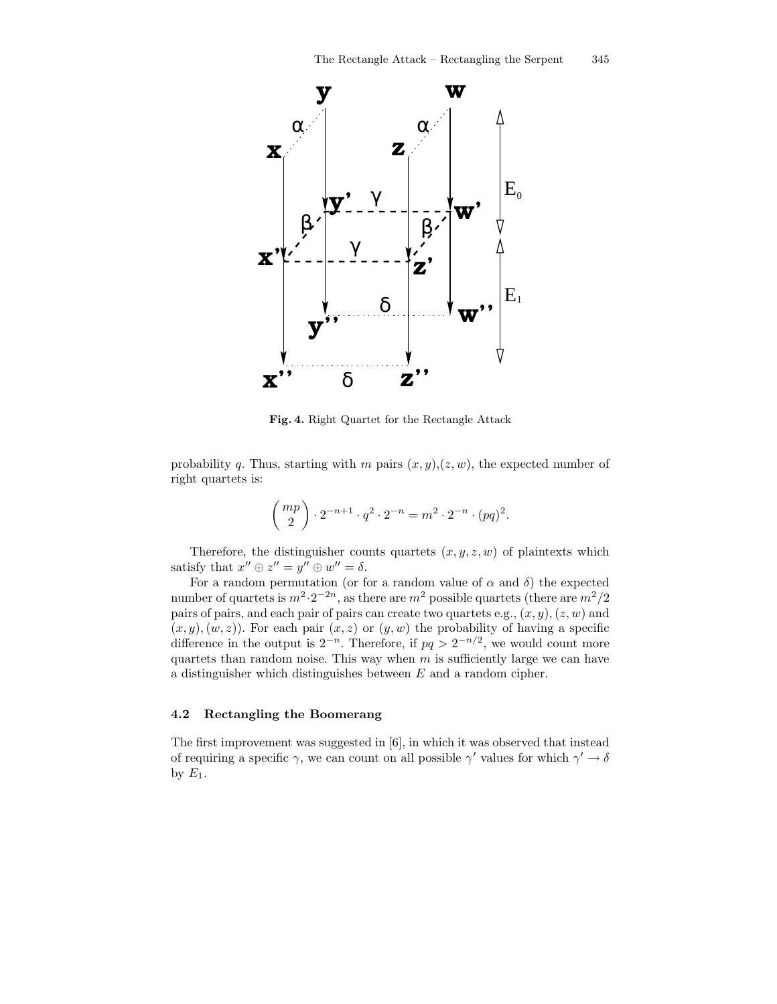

Fig. 4. Right Quartet for the Rectangle Attack

probability q. Thus, starting with m pairs  $(x, y), (z, w)$ , the expected number of right quartets is:

$$
\binom{mp}{2} \cdot 2^{-n+1} \cdot q^2 \cdot 2^{-n} = m^2 \cdot 2^{-n} \cdot (pq)^2.
$$

Therefore, the distinguisher counts quartets  $(x, y, z, w)$  of plaintexts which satisfy that  $x'' \oplus z'' = y'' \oplus w'' = \delta$ .

For a random permutation (or for a random value of  $\alpha$  and  $\delta$ ) the expected number of quartets is  $m^2 \cdot 2^{-2n}$ , as there are  $m^2$  possible quartets (there are  $m^2/2$ pairs of pairs, and each pair of pairs can create two quartets e.g.,  $(x, y)$ ,  $(z, w)$  and  $(x, y), (w, z)$ . For each pair  $(x, z)$  or  $(y, w)$  the probability of having a specific difference in the output is  $2^{-n}$ . Therefore, if  $pq > 2^{-n/2}$ , we would count more quartets than random noise. This way when  $m$  is sufficiently large we can have a distinguisher which distinguishes between E and a random cipher.

#### 4.2 Rectangling the Boomerang

The first improvement was suggested in [6], in which it was observed that instead of requiring a specific  $\gamma$ , we can count on all possible  $\gamma'$  values for which  $\gamma' \to \delta$ by  $E_1$ .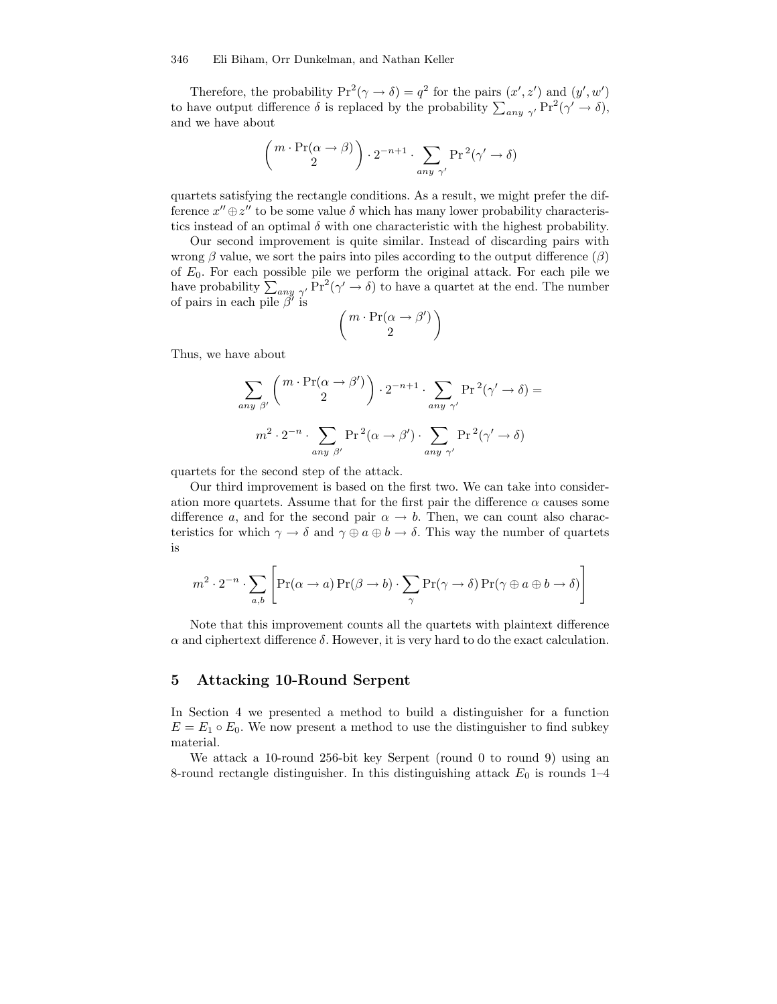Therefore, the probability  $Pr^2(\gamma \to \delta) = q^2$  for the pairs  $(x', z')$  and  $(y', w')$ to have output difference  $\delta$  is replaced by the probability  $\sum_{any \gamma'} Pr^2(\gamma' \to \delta),$ and we have about

$$
\begin{pmatrix} m \cdot \Pr(\alpha \to \beta) \\ 2 \end{pmatrix} \cdot 2^{-n+1} \cdot \sum_{\text{any } \gamma'} \Pr^2(\gamma' \to \delta)
$$

quartets satisfying the rectangle conditions. As a result, we might prefer the difference  $x'' \oplus z''$  to be some value  $\delta$  which has many lower probability characteristics instead of an optimal  $\delta$  with one characteristic with the highest probability.

Our second improvement is quite similar. Instead of discarding pairs with wrong  $\beta$  value, we sort the pairs into piles according to the output difference  $(\beta)$ of  $E_0$ . For each possible pile we perform the original attack. For each pile we have probability  $\sum_{any \gamma'} \Pr^2(\gamma' \to \delta)$  to have a quartet at the end. The number of pairs in each pile  $\beta'$  is<br>  $\left(m \cdot \Pr(\alpha \to \beta')\right)$ 

$$
\begin{pmatrix} m \cdot \Pr(\alpha \to \beta') \\ 2 \end{pmatrix}
$$

Thus, we have about

$$
\sum_{\text{any } \beta'} \left( \begin{array}{c} m \cdot \Pr(\alpha \to \beta') \\ 2 \end{array} \right) \cdot 2^{-n+1} \cdot \sum_{\text{any } \gamma'} \Pr^2(\gamma' \to \delta) =
$$
  

$$
m^2 \cdot 2^{-n} \cdot \sum_{\text{any } \beta'} \Pr^2(\alpha \to \beta') \cdot \sum_{\text{any } \gamma'} \Pr^2(\gamma' \to \delta)
$$

quartets for the second step of the attack.

Our third improvement is based on the first two. We can take into consideration more quartets. Assume that for the first pair the difference  $\alpha$  causes some difference a, and for the second pair  $\alpha \to b$ . Then, we can count also characteristics for which  $\gamma \to \delta$  and  $\gamma \oplus a \oplus b \to \delta$ . This way the number of quartets is

$$
m^{2} \cdot 2^{-n} \cdot \sum_{a,b} \left[ \Pr(\alpha \to a) \Pr(\beta \to b) \cdot \sum_{\gamma} \Pr(\gamma \to \delta) \Pr(\gamma \oplus a \oplus b \to \delta) \right]
$$

Note that this improvement counts all the quartets with plaintext difference  $\alpha$  and ciphertext difference  $\delta$ . However, it is very hard to do the exact calculation.

### 5 Attacking 10-Round Serpent

In Section 4 we presented a method to build a distinguisher for a function  $E = E_1 \circ E_0$ . We now present a method to use the distinguisher to find subkey material.

We attack a 10-round 256-bit key Serpent (round 0 to round 9) using an 8-round rectangle distinguisher. In this distinguishing attack  $E_0$  is rounds 1–4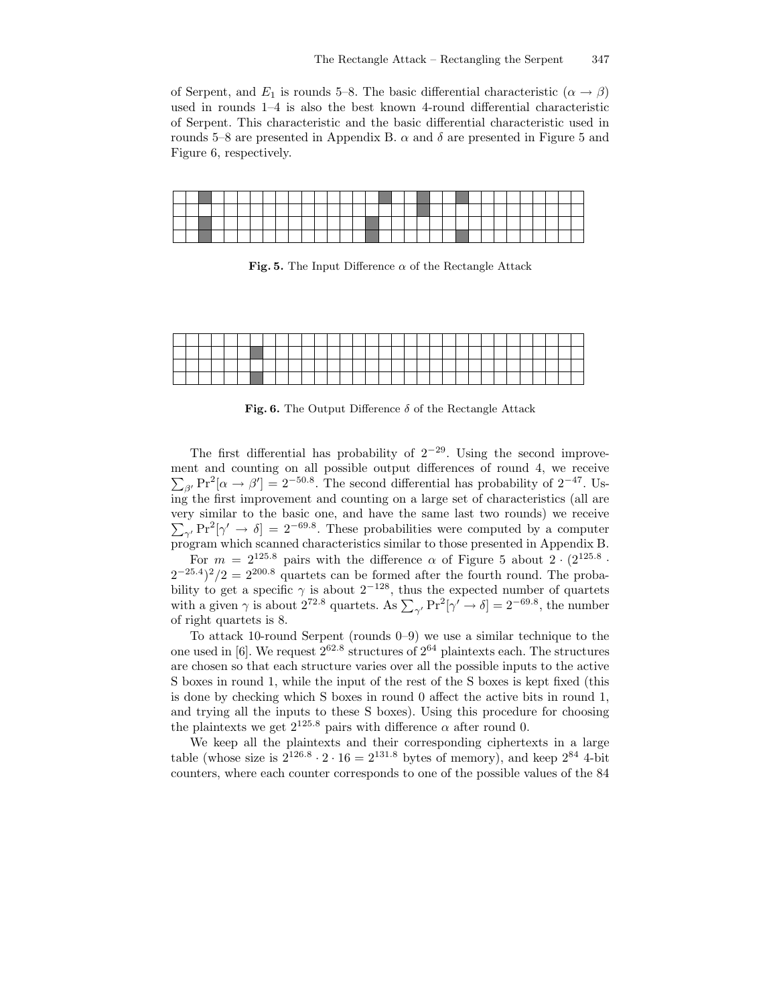of Serpent, and  $E_1$  is rounds 5–8. The basic differential characteristic  $(\alpha \rightarrow \beta)$ used in rounds 1–4 is also the best known 4-round differential characteristic of Serpent. This characteristic and the basic differential characteristic used in rounds 5–8 are presented in Appendix B.  $\alpha$  and  $\delta$  are presented in Figure 5 and Figure 6, respectively.

Fig. 5. The Input Difference  $\alpha$  of the Rectangle Attack

Fig. 6. The Output Difference  $\delta$  of the Rectangle Attack

The first differential has probability of  $2^{-29}$ . Using the second improve- $\sum_{\beta'} \text{Pr}^2[\alpha \to \beta'] = 2^{-50.8}$ . The second differential has probability of  $2^{-47}$ . Usment and counting on all possible output differences of round 4, we receive  $\overline{ing}$  the first improvement and counting on a large set of characteristics (all are very similar to the basic one, and have the same last two rounds) we receive  $\sum_{\gamma} P r^2 [\gamma' \rightarrow \delta] = 2^{-69.8}$ . These probabilities were computed by a computer program which scanned characteristics similar to those presented in Appendix B.

For  $m = 2^{125.8}$  pairs with the difference  $\alpha$  of Figure 5 about  $2 \cdot (2^{125.8} \cdot$  $(2^{-25.4})^2/2 = 2^{200.8}$  quartets can be formed after the fourth round. The probability to get a specific  $\gamma$  is about  $2^{-128}$ , thus the expected number of quartets with a given  $\gamma$  is about 2<sup>72.8</sup> quartets. As  $\sum_{\gamma'} \Pr^2[\gamma' \to \delta] = 2^{-69.8}$ , the number of right quartets is 8.

To attack 10-round Serpent (rounds 0–9) we use a similar technique to the one used in [6]. We request  $2^{62.8}$  structures of  $2^{64}$  plaintexts each. The structures are chosen so that each structure varies over all the possible inputs to the active S boxes in round 1, while the input of the rest of the S boxes is kept fixed (this is done by checking which S boxes in round 0 affect the active bits in round 1, and trying all the inputs to these S boxes). Using this procedure for choosing the plaintexts we get  $2^{125.8}$  pairs with difference  $\alpha$  after round 0.

We keep all the plaintexts and their corresponding ciphertexts in a large table (whose size is  $2^{126.8} \cdot 2 \cdot 16 = 2^{131.8}$  bytes of memory), and keep  $2^{84}$  4-bit counters, where each counter corresponds to one of the possible values of the 84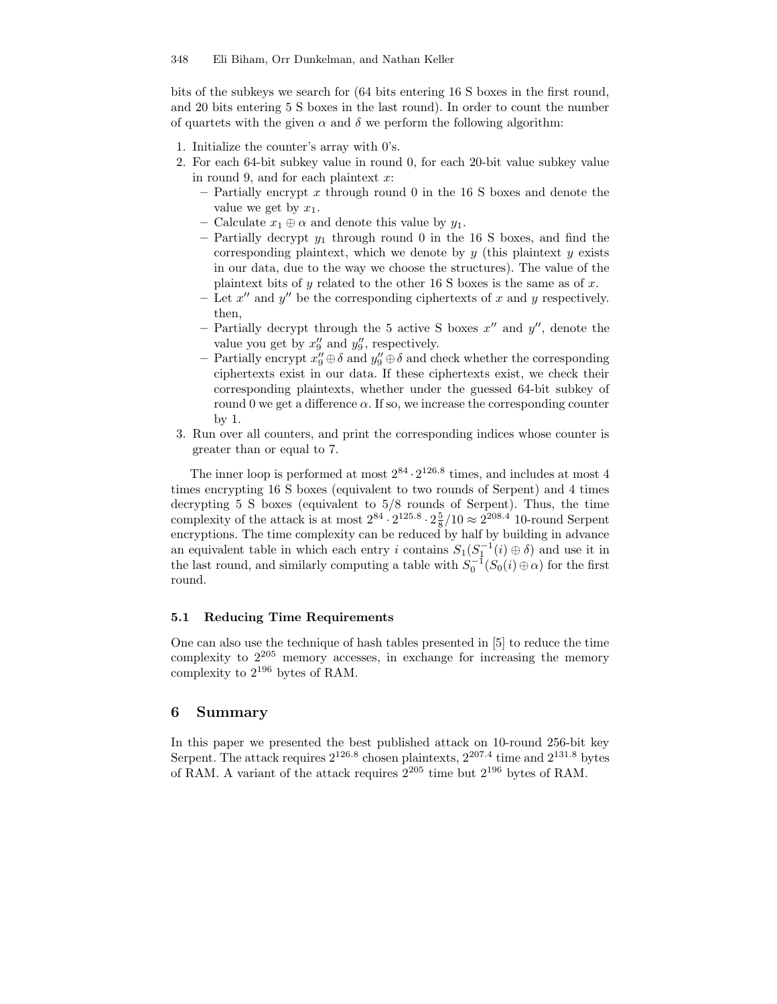bits of the subkeys we search for (64 bits entering 16 S boxes in the first round, and 20 bits entering 5 S boxes in the last round). In order to count the number of quartets with the given  $\alpha$  and  $\delta$  we perform the following algorithm:

- 1. Initialize the counter's array with 0's.
- 2. For each 64-bit subkey value in round 0, for each 20-bit value subkey value in round 9, and for each plaintext  $x$ :
	- $-$  Partially encrypt x through round 0 in the 16 S boxes and denote the value we get by  $x_1$ .
	- Calculate  $x_1 \oplus \alpha$  and denote this value by  $y_1$ .
	- Partially decrypt  $y_1$  through round 0 in the 16 S boxes, and find the corresponding plaintext, which we denote by  $y$  (this plaintext  $y$  exists in our data, due to the way we choose the structures). The value of the plaintext bits of y related to the other 16 S boxes is the same as of x.
	- Let  $x''$  and  $y''$  be the corresponding ciphertexts of x and y respectively. then,
	- Partially decrypt through the 5 active S boxes  $x''$  and  $y''$ , denote the value you get by  $x_9''$  and  $y_9''$ , respectively.
	- Partially encrypt  $x_9'' \oplus \delta$  and  $y_9'' \oplus \delta$  and check whether the corresponding ciphertexts exist in our data. If these ciphertexts exist, we check their corresponding plaintexts, whether under the guessed 64-bit subkey of round 0 we get a difference  $\alpha$ . If so, we increase the corresponding counter by 1.
- 3. Run over all counters, and print the corresponding indices whose counter is greater than or equal to 7.

The inner loop is performed at most  $2^{84} \cdot 2^{126.8}$  times, and includes at most 4 times encrypting 16 S boxes (equivalent to two rounds of Serpent) and 4 times decrypting 5 S boxes (equivalent to 5/8 rounds of Serpent). Thus, the time complexity of the attack is at most  $2^{84} \cdot 2^{125.8} \cdot 2 \frac{5}{8} / 10 \approx 2^{208.4}$  10-round Serpent encryptions. The time complexity can be reduced by half by building in advance an equivalent table in which each entry i contains  $S_1(S_1^{-1}(i) \oplus \delta)$  and use it in the last round, and similarly computing a table with  $S_0^{-1}(S_0(i) \oplus \alpha)$  for the first round.

#### 5.1 Reducing Time Requirements

One can also use the technique of hash tables presented in [5] to reduce the time complexity to  $2^{205}$  memory accesses, in exchange for increasing the memory complexity to  $2^{196}$  bytes of RAM.

#### 6 Summary

In this paper we presented the best published attack on 10-round 256-bit key Serpent. The attack requires  $2^{126.8}$  chosen plaintexts,  $2^{207.4}$  time and  $2^{131.8}$  bytes of RAM. A variant of the attack requires  $2^{205}$  time but  $2^{196}$  bytes of RAM.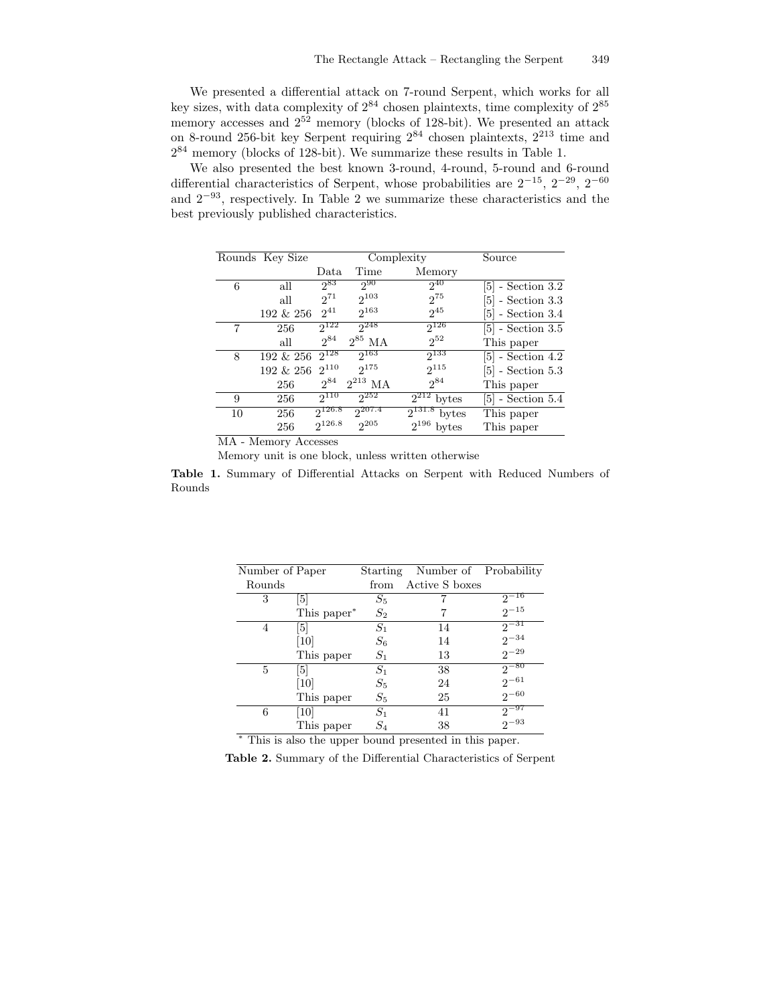We presented a differential attack on 7-round Serpent, which works for all key sizes, with data complexity of  $2^{84}$  chosen plaintexts, time complexity of  $2^{85}$ memory accesses and  $2^{52}$  memory (blocks of 128-bit). We presented an attack on 8-round 256-bit key Serpent requiring 2 <sup>84</sup> chosen plaintexts, 2 <sup>213</sup> time and  $2^{84}$  memory (blocks of 128-bit). We summarize these results in Table 1.

We also presented the best known 3-round, 4-round, 5-round and 6-round differential characteristics of Serpent, whose probabilities are  $2^{-15}$ ,  $2^{-29}$ ,  $2^{-60}$ and  $2^{-93}$ , respectively. In Table 2 we summarize these characteristics and the best previously published characteristics.

|    | Rounds Key Size |             |              | Complexity         | Source              |
|----|-----------------|-------------|--------------|--------------------|---------------------|
|    |                 | Data        | Time         | Memory             |                     |
| 6  | all             | 283         | $2^{90}$     | $2^{40}$           | $[5]$ - Section 3.2 |
|    | all             | 271         | $2^{103}$    | $2^{75}$           | $[5]$ - Section 3.3 |
|    | 192 & 256       | $2^{41}$    | $2^{163}$    | $2^{45}$           | $ 5 $ - Section 3.4 |
| 7  | 256             | $2^{122}$   | $2^{248}$    | $2^{126}$          | $ 5 $ - Section 3.5 |
|    | all             | 284         | $2^{85}$ MA  | $2^{52}$           | This paper          |
| 8  | 192 & 256       | $2^{128}$   | $2^{163}$    | $2^{133}$          | $[5]$ - Section 4.2 |
|    | 192 & 256       | $2^{110}$   | $2^{175}$    | $2^{115}$          | $[5]$ - Section 5.3 |
|    | 256             | $2^{84}$    | $2^{213}$ MA | $2^{84}$           | This paper          |
| 9  | 256             | $2^{110}$   | $2^{252}$    | $2^{212}$<br>bytes | $ 5 $ - Section 5.4 |
| 10 | 256             | 2126.8      | $2^{207.4}$  | bytes              | This paper          |
|    | 256             | $2^{126.8}$ | $2^{205}$    | $2^{196}$<br>bytes | This paper          |

MA - Memory Accesses

Memory unit is one block, unless written otherwise

Table 1. Summary of Differential Attacks on Serpent with Reduced Numbers of Rounds

| Number of Paper |             |       | Starting Number of Probability |           |
|-----------------|-------------|-------|--------------------------------|-----------|
| Rounds          |             | from  | Active S boxes                 |           |
| 3               | 51          | $S_5$ |                                | $2^{-16}$ |
|                 | This paper* | $S_2$ |                                | $2^{-15}$ |
| 4               | [5]         | $S_1$ | 14                             | $2^{-31}$ |
|                 | 10          | $S_6$ | 14                             | $2^{-34}$ |
|                 | This paper  | $S_1$ | 13                             | $2^{-29}$ |
| 5               | [5]         | $S_1$ | 38                             | $2^{-80}$ |
|                 | 10          | $S_5$ | 24                             | $2^{-61}$ |
|                 | This paper  | $S_5$ | 25                             | $2^{-60}$ |
| 6               | [10]        | $S_1$ | 41                             | $2^{-97}$ |
|                 | This paper  | $S_4$ | 38                             | $2^{-93}$ |

<sup>∗</sup> This is also the upper bound presented in this paper.

Table 2. Summary of the Differential Characteristics of Serpent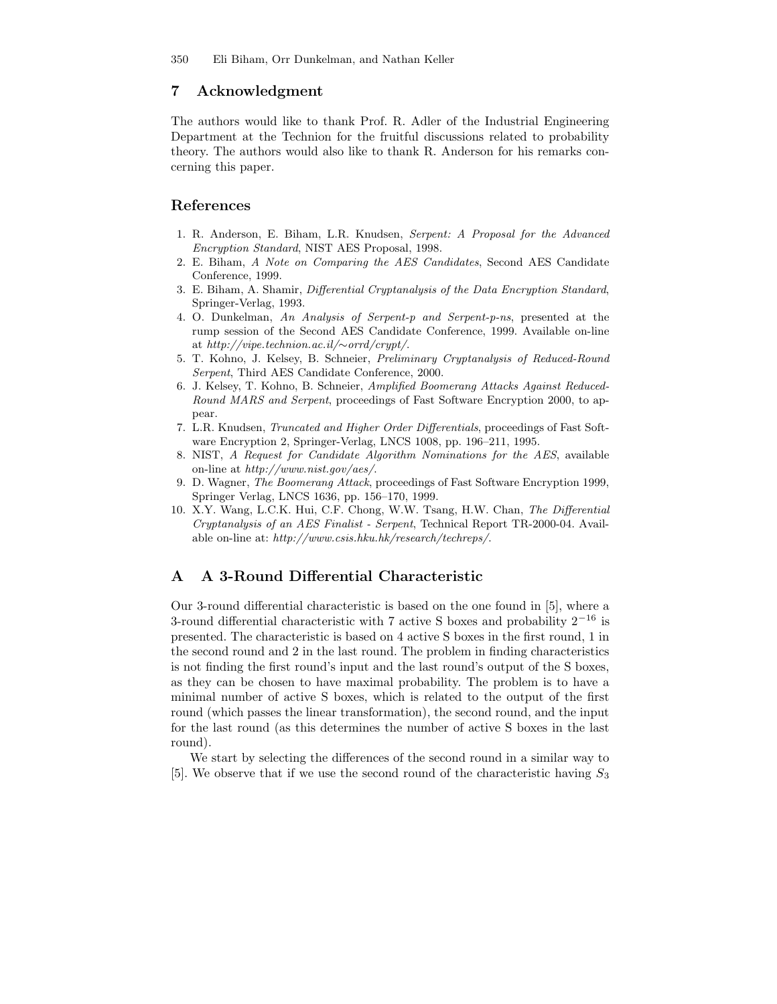### 7 Acknowledgment

The authors would like to thank Prof. R. Adler of the Industrial Engineering Department at the Technion for the fruitful discussions related to probability theory. The authors would also like to thank R. Anderson for his remarks concerning this paper.

### References

- 1. R. Anderson, E. Biham, L.R. Knudsen, Serpent: A Proposal for the Advanced Encryption Standard, NIST AES Proposal, 1998.
- 2. E. Biham, A Note on Comparing the AES Candidates, Second AES Candidate Conference, 1999.
- 3. E. Biham, A. Shamir, Differential Cryptanalysis of the Data Encryption Standard, Springer-Verlag, 1993.
- 4. O. Dunkelman, An Analysis of Serpent-p and Serpent-p-ns, presented at the rump session of the Second AES Candidate Conference, 1999. Available on-line at http://vipe.technion.ac.il/∼orrd/crypt/.
- 5. T. Kohno, J. Kelsey, B. Schneier, Preliminary Cryptanalysis of Reduced-Round Serpent, Third AES Candidate Conference, 2000.
- 6. J. Kelsey, T. Kohno, B. Schneier, Amplified Boomerang Attacks Against Reduced-Round MARS and Serpent, proceedings of Fast Software Encryption 2000, to appear.
- 7. L.R. Knudsen, Truncated and Higher Order Differentials, proceedings of Fast Software Encryption 2, Springer-Verlag, LNCS 1008, pp. 196–211, 1995.
- 8. NIST, A Request for Candidate Algorithm Nominations for the AES, available on-line at http://www.nist.gov/aes/.
- 9. D. Wagner, The Boomerang Attack, proceedings of Fast Software Encryption 1999, Springer Verlag, LNCS 1636, pp. 156–170, 1999.
- 10. X.Y. Wang, L.C.K. Hui, C.F. Chong, W.W. Tsang, H.W. Chan, The Differential Cryptanalysis of an AES Finalist - Serpent, Technical Report TR-2000-04. Available on-line at: http://www.csis.hku.hk/research/techreps/.

### A A 3-Round Differential Characteristic

Our 3-round differential characteristic is based on the one found in [5], where a 3-round differential characteristic with 7 active S boxes and probability  $2^{-16}$  is presented. The characteristic is based on 4 active S boxes in the first round, 1 in the second round and 2 in the last round. The problem in finding characteristics is not finding the first round's input and the last round's output of the S boxes, as they can be chosen to have maximal probability. The problem is to have a minimal number of active S boxes, which is related to the output of the first round (which passes the linear transformation), the second round, and the input for the last round (as this determines the number of active S boxes in the last round).

We start by selecting the differences of the second round in a similar way to [5]. We observe that if we use the second round of the characteristic having  $S_3$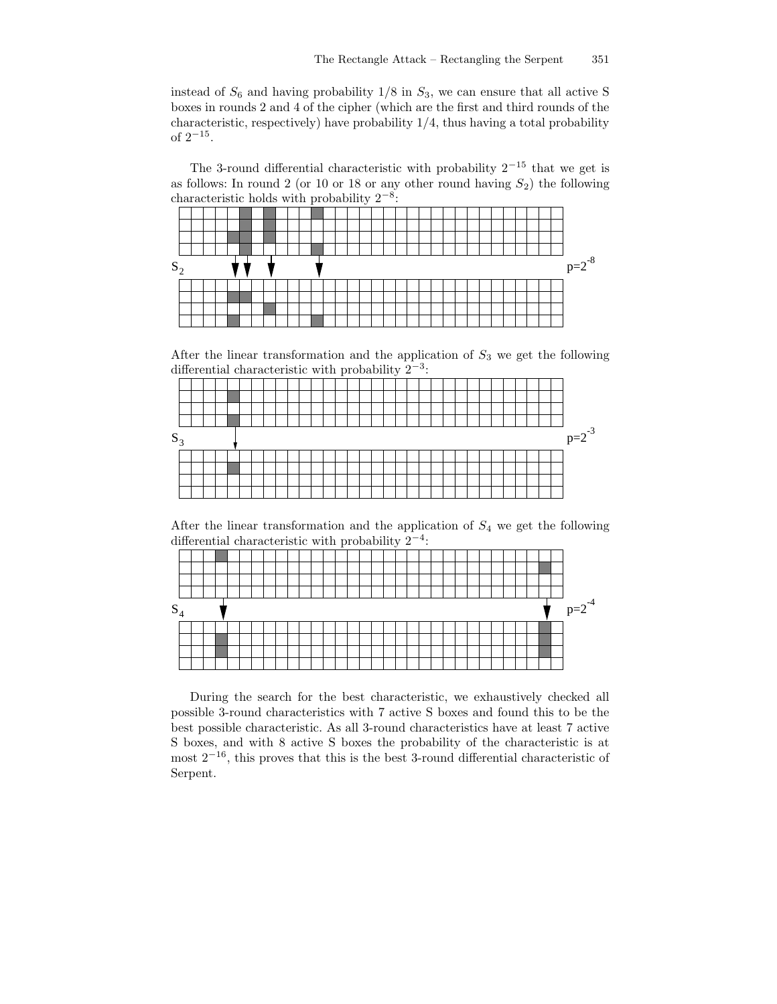instead of  $S_6$  and having probability  $1/8$  in  $S_3$ , we can ensure that all active S boxes in rounds 2 and 4 of the cipher (which are the first and third rounds of the characteristic, respectively) have probability 1/4, thus having a total probability of  $2^{-15}$ .

The 3-round differential characteristic with probability  $2^{-15}$  that we get is as follows: In round 2 (or 10 or 18 or any other round having  $S_2$ ) the following characteristic holds with probability  $2^{-8}$ :



After the linear transformation and the application of  $S_3$  we get the following differential characteristic with probability  $2^{-3}$ :



After the linear transformation and the application of  $S_4$  we get the following differential characteristic with probability  $2^{-4}$ :

| $p=2^{-4}$ |
|------------|
|            |
|            |
|            |
|            |
|            |

During the search for the best characteristic, we exhaustively checked all possible 3-round characteristics with 7 active S boxes and found this to be the best possible characteristic. As all 3-round characteristics have at least 7 active S boxes, and with 8 active S boxes the probability of the characteristic is at most  $2^{-16}$ , this proves that this is the best 3-round differential characteristic of Serpent.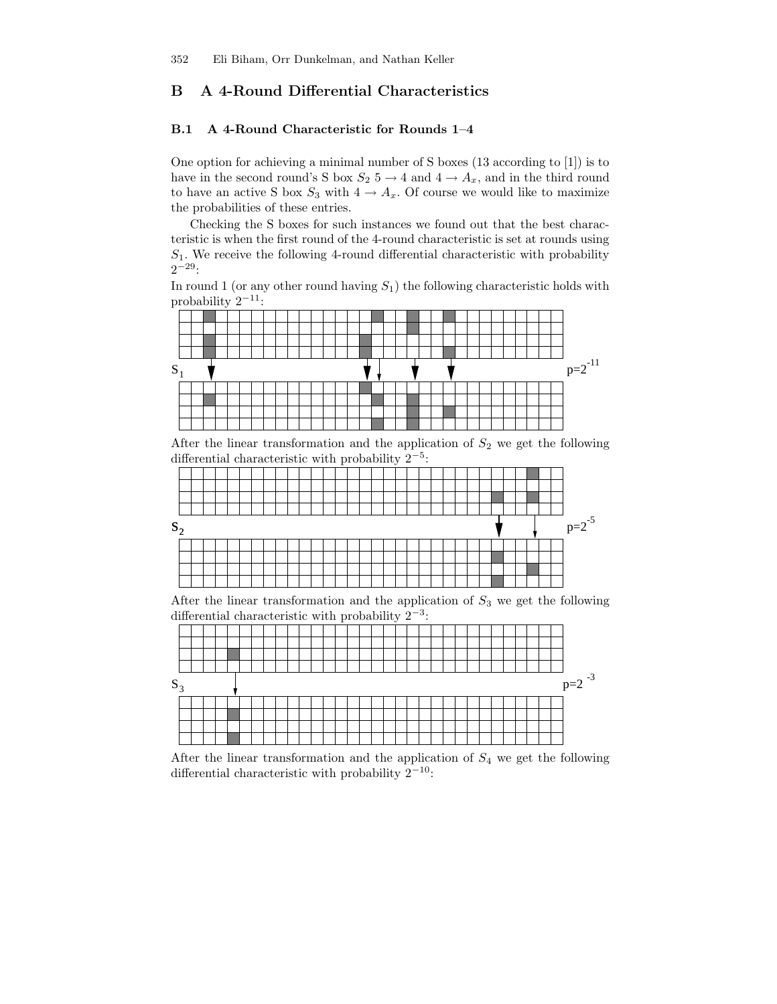## B A 4-Round Differential Characteristics

#### B.1 A 4-Round Characteristic for Rounds 1–4

One option for achieving a minimal number of S boxes (13 according to [1]) is to have in the second round's S box  $S_2$  5  $\rightarrow$  4 and 4  $\rightarrow$   $A_x$ , and in the third round to have an active S box  $S_3$  with  $4 \to A_x$ . Of course we would like to maximize the probabilities of these entries.

Checking the S boxes for such instances we found out that the best characteristic is when the first round of the 4-round characteristic is set at rounds using  $S_1$ . We receive the following 4-round differential characteristic with probability  $2^{-29}$ :

In round 1 (or any other round having  $S_1$ ) the following characteristic holds with probability  $2^{-11}$ :



 $S_3$  $p=2$ <sup>-3</sup>

After the linear transformation and the application of  $S_4$  we get the following differential characteristic with probability  $2^{-10}$ :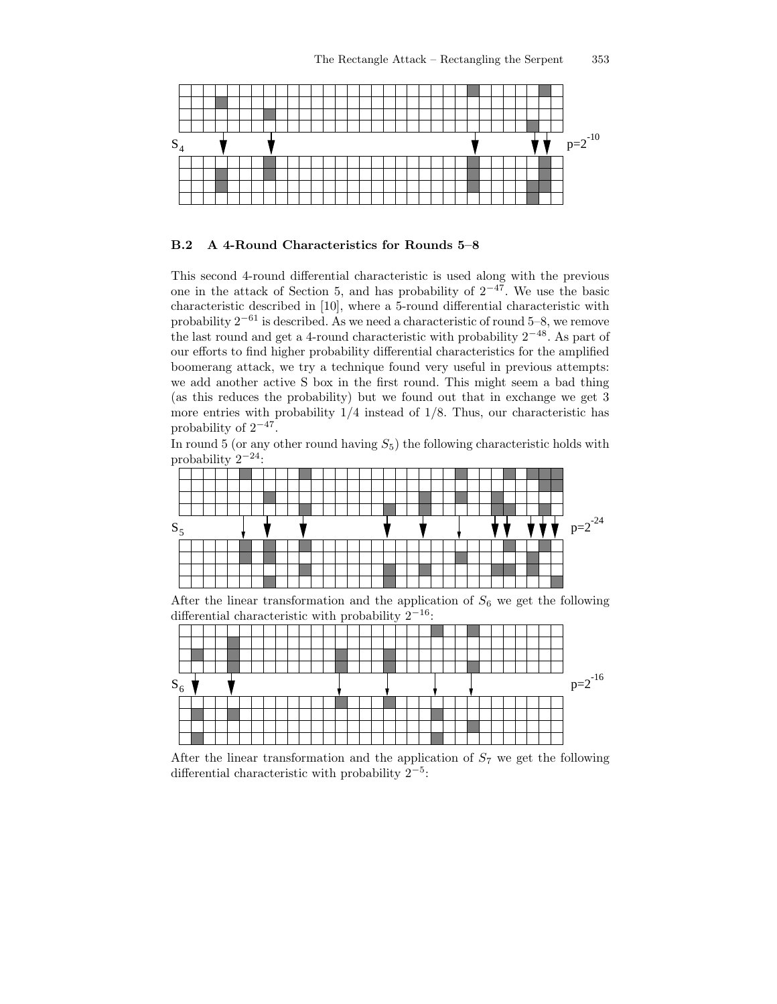

#### B.2 A 4-Round Characteristics for Rounds 5–8

This second 4-round differential characteristic is used along with the previous one in the attack of Section 5, and has probability of  $2^{-47}$ . We use the basic characteristic described in [10], where a 5-round differential characteristic with probability  $2^{-61}$  is described. As we need a characteristic of round 5–8, we remove the last round and get a 4-round characteristic with probability  $2^{-48}$ . As part of our efforts to find higher probability differential characteristics for the amplified boomerang attack, we try a technique found very useful in previous attempts: we add another active S box in the first round. This might seem a bad thing (as this reduces the probability) but we found out that in exchange we get 3 more entries with probability  $1/4$  instead of  $1/8$ . Thus, our characteristic has probability of  $2^{-47}$ .

In round 5 (or any other round having  $S_5$ ) the following characteristic holds with probability  $2^{-24}$ :



After the linear transformation and the application of  $S_6$  we get the following differential characteristic with probability  $2^{-16}$ :



After the linear transformation and the application of  $S_7$  we get the following differential characteristic with probability  $2^{-5}$ :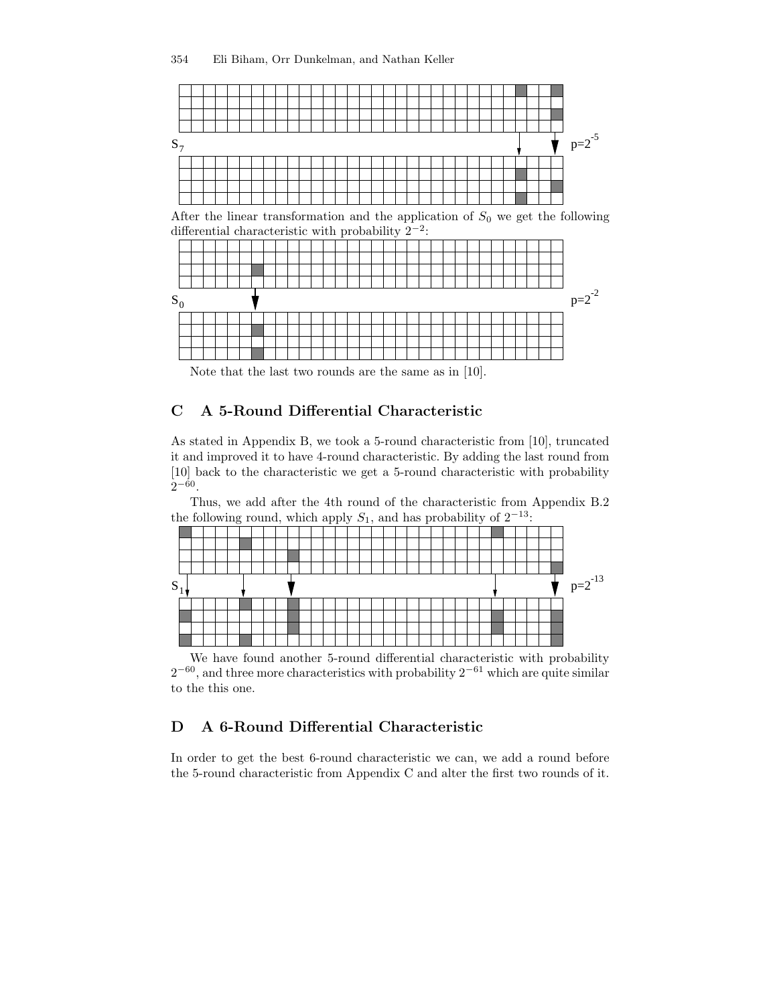

After the linear transformation and the application of  $S_0$  we get the following differential characteristic with probability  $2^{-2}$ :



Note that the last two rounds are the same as in [10].

# C A 5-Round Differential Characteristic

As stated in Appendix B, we took a 5-round characteristic from [10], truncated it and improved it to have 4-round characteristic. By adding the last round from [10] back to the characteristic we get a 5-round characteristic with probability  $2^{-60}$ .

Thus, we add after the 4th round of the characteristic from Appendix B.2 the following round, which apply  $S_1$ , and has probability of  $2^{-13}$ :



We have found another 5-round differential characteristic with probability  $2^{-60}$ , and three more characteristics with probability  $2^{-61}$  which are quite similar to the this one.

### D A 6-Round Differential Characteristic

In order to get the best 6-round characteristic we can, we add a round before the 5-round characteristic from Appendix C and alter the first two rounds of it.